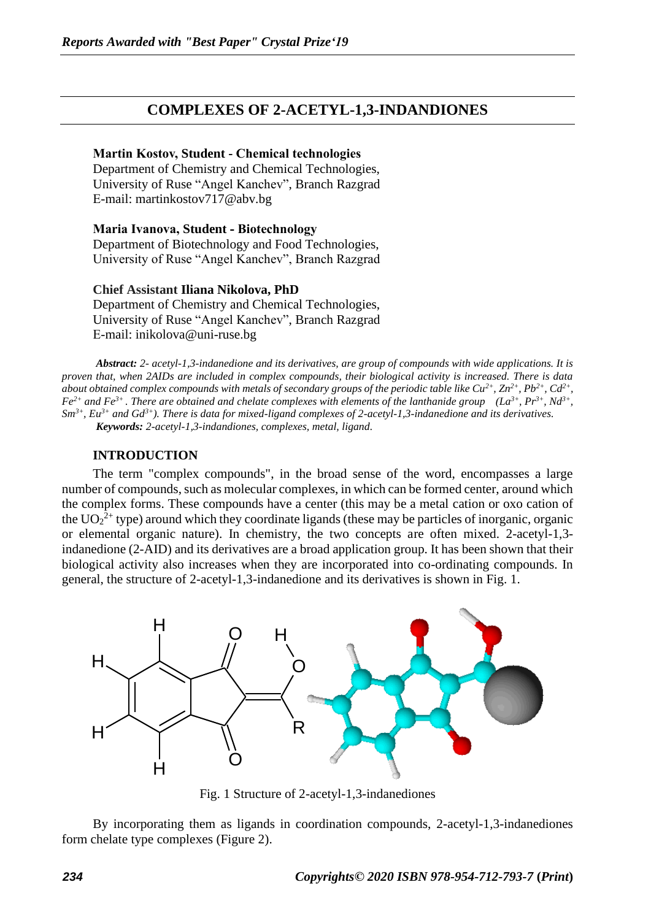## **COMPLEXES OF 2-ACETYL-1,3-INDANDIONES**

#### **Martin Kostov, Student - Chemical technologies**

Department of Chemistry and Chemical Technologies, University of Ruse "Angel Kanchev", Branch Razgrad Е-mail: martinkostov717@abv.bg

**Maria Ivanova, Student - Biotechnology** Department of Biotechnology and Food Technologies, University of Ruse "Angel Kanchev", Branch Razgrad

**Chief Assistant Iliana Nikolova, PhD**  Department of Chemistry and Chemical Technologies, University of Ruse "Angel Kanchev", Branch Razgrad Е-mail: [inikolova@uni-ruse.bg](mailto:inikolova@uni-ruse.bg)

*Abstract: 2- acetyl-1,3-indanedione and its derivatives, are group of compounds with wide applications. It is proven that, when 2AIDs are included in complex compounds, their biological activity is increased. There is data about obtained complex compounds with metals of secondary groups of the periodic table like Cu2+ , Zn2+, Pb2+, Cd2+ , Fe*<sup>2+</sup> and *Fe*<sup>3+</sup>. There are obtained and chelate complexes with elements of the lanthanide group (La<sup>3+</sup>, Pr<sup>3+</sup>, Nd<sup>3+</sup>, *Sm3+, Eu3+ and Gd3+). There is data for mixed-ligand complexes of 2-acetyl-1,3-indanedione and its derivatives. Keywords: 2-acetyl-1,3-indandiones, complexes, metal, ligand.*

### **INTRODUCTION**

The term "complex compounds", in the broad sense of the word, encompasses a large number of compounds, such as molecular complexes, in which can be formed center, around which the complex forms. These compounds have a center (this may be a metal cation or oxo cation of the  $UO_2^{2+}$  type) around which they coordinate ligands (these may be particles of inorganic, organic or elemental organic nature). In chemistry, the two concepts are often mixed. 2-acetyl-1,3 indanedione (2-AID) and its derivatives are a broad application group. It has been shown that their biological activity also increases when they are incorporated into co-ordinating compounds. In general, the structure of 2-acetyl-1,3-indanedione and its derivatives is shown in Fig. 1.



Fig. 1 Structure of 2-acetyl-1,3-indanediones

By incorporating them as ligands in coordination compounds, 2-acetyl-1,3-indanediones form chelate type complexes (Figure 2).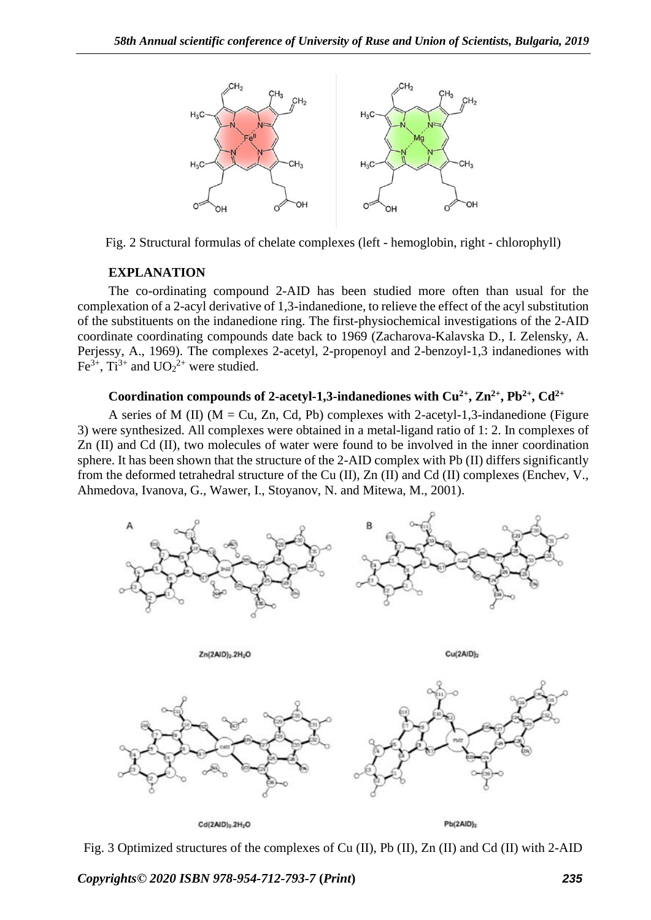

Fig. 2 Structural formulas of chelate complexes (left - hemoglobin, right - chlorophyll)

### **EXPLANATION**

The co-ordinating compound 2-AID has been studied more often than usual for the complexation of a 2-acyl derivative of 1,3-indanedione, to relieve the effect of the acyl substitution of the substituents on the indanedione ring. The first-physiochemical investigations of the 2-AID coordinate coordinating compounds date back to 1969 (Zacharova-Kalavska D., I. Zelensky, A. Perjessy, A., 1969). The complexes 2-acetyl, 2-propenoyl and 2-benzoyl-1,3 indanediones with Fe<sup>3+</sup>, Ti<sup>3+</sup> and  $UO_2^{2+}$  were studied.

### **Coordination compounds of 2-acetyl-1,3-indanediones with Cu2+, Zn2+, Pb2+, Cd2+**

A series of M (II) ( $M = Cu$ , Zn, Cd, Pb) complexes with 2-acetyl-1,3-indanedione (Figure 3) were synthesized. All complexes were obtained in a metal-ligand ratio of 1: 2. In complexes of Zn (II) and Cd (II), two molecules of water were found to be involved in the inner coordination sphere. It has been shown that the structure of the 2-AID complex with Pb (II) differs significantly from the deformed tetrahedral structure of the Cu (II), Zn (II) and Cd (II) complexes (Enchev, V., Ahmedova, Ivanova, G., Wawer, I., Stoyanov, N. and Mitewa, M., 2001).





Fig. 3 Optimized structures of the complexes of Cu (II), Pb (II), Zn (II) and Cd (II) with 2-AID

*Copyrights© 2020 ISBN 978-954-712-793-7* **(***Print***)** *235*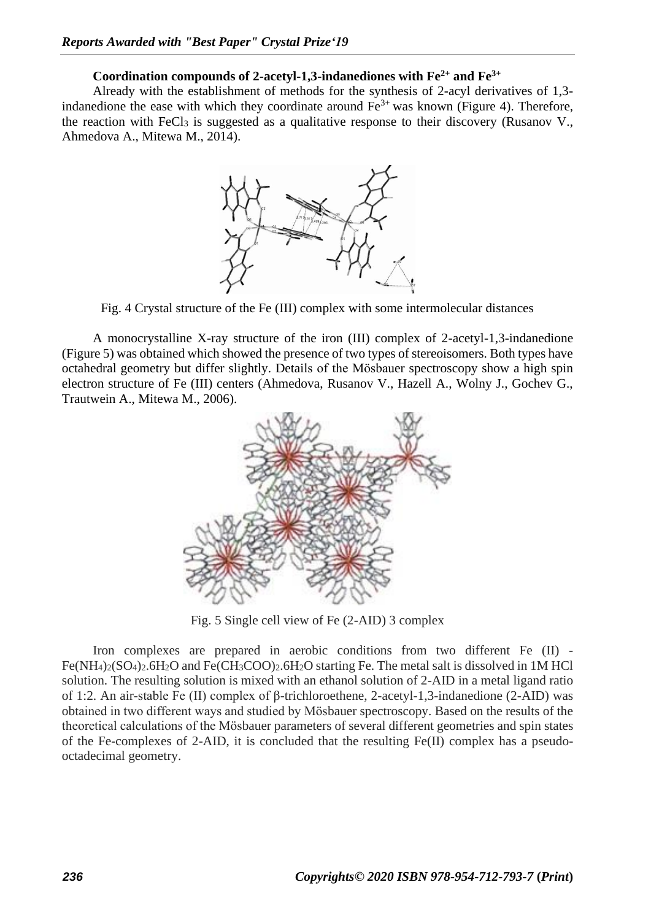# **Coordination compounds of 2-acetyl-1,3-indanediones with Fe2+ and Fe3+**

Already with the establishment of methods for the synthesis of 2-acyl derivatives of 1,3 indanedione the ease with which they coordinate around  $Fe<sup>3+</sup>$  was known (Figure 4). Therefore, the reaction with FeCl<sub>3</sub> is suggested as a qualitative response to their discovery (Rusanov V., Ahmedova A., Mitewa M., 2014).



Fig. 4 Crystal structure of the Fe (III) complex with some intermolecular distances

A monocrystalline X-ray structure of the iron (III) complex of 2-acetyl-1,3-indanedione (Figure 5) was obtained which showed the presence of two types of stereoisomers. Both types have octahedral geometry but differ slightly. Details of the Mösbauer spectroscopy show a high spin electron structure of Fe (III) centers (Ahmedova, Rusanov V., Hazell A., Wolny J., Gochev G., Trautwein A., Mitewa M., 2006).



Fig. 5 Single cell view of Fe (2-AID) 3 complex

Iron complexes are prepared in aerobic conditions from two different Fe (II) -  $Fe(NH_4)_2(SO_4)_2.6H_2O$  and  $Fe(CH_3COO)_2.6H_2O$  starting Fe. The metal salt is dissolved in 1M HCl solution. The resulting solution is mixed with an ethanol solution of 2-AID in a metal ligand ratio of 1:2. An air-stable Fe (II) complex of β-trichloroethene, 2-acetyl-1,3-indanedione (2-AID) was obtained in two different ways and studied by Mösbauer spectroscopy. Based on the results of the theoretical calculations of the Mösbauer parameters of several different geometries and spin states of the Fe-complexes of 2-AID, it is concluded that the resulting Fe(II) complex has a pseudooctadecimal geometry.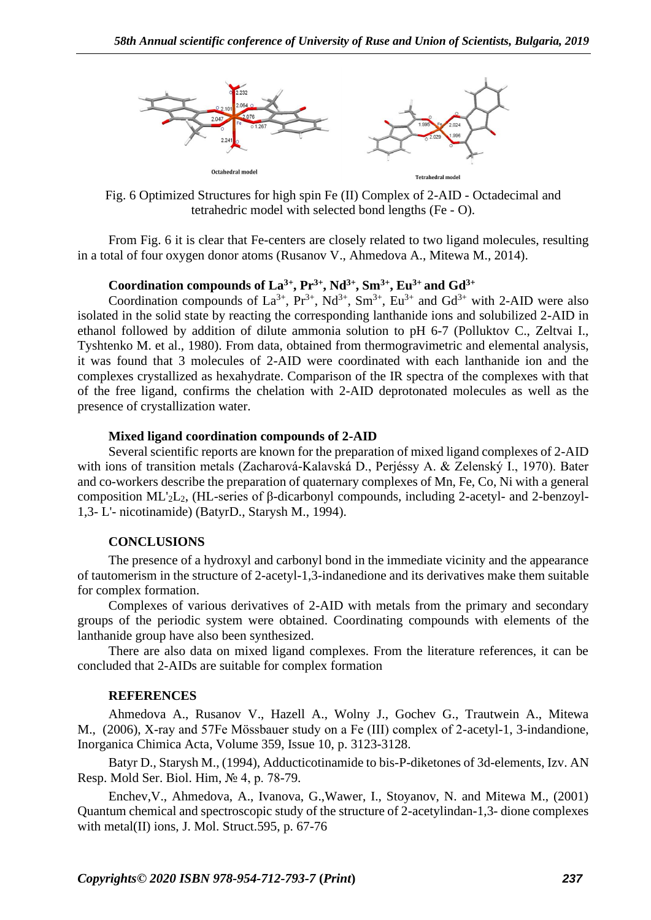

Fig. 6 Optimized Structures for high spin Fe (II) Complex of 2-AID - Octadecimal and tetrahedric model with selected bond lengths (Fe - O).

From Fig. 6 it is clear that Fe-centers are closely related to two ligand molecules, resulting in a total of four oxygen donor atoms (Rusanov V., Ahmedova A., Mitewa M., 2014).

### Coordination compounds of  $La^{3+}$ ,  $Pr^{3+}$ ,  $Nd^{3+}$ ,  $Sm^{3+}$ ,  $Eu^{3+}$  and  $Gd^{3+}$

Coordination compounds of  $La^{3+}$ ,  $Pr^{3+}$ ,  $Nd^{3+}$ ,  $Sm^{3+}$ ,  $Eu^{3+}$  and  $Gd^{3+}$  with 2-AID were also isolated in the solid state by reacting the corresponding lanthanide ions and solubilized 2-AID in ethanol followed by addition of dilute ammonia solution to pH 6-7 (Polluktov C., Zeltvai I., Tyshtenko M. et al., 1980). From data, obtained from thermogravimetric and elemental analysis, it was found that 3 molecules of 2-AID were coordinated with each lanthanide ion and the complexes crystallized as hexahydrate. Comparison of the IR spectra of the complexes with that of the free ligand, confirms the chelation with 2-AID deprotonated molecules as well as the presence of crystallization water.

### **Mixed ligand coordination compounds of 2-AID**

Several scientific reports are known for the preparation of mixed ligand complexes of 2-AID with ions of transition metals (Zacharová-Kalavská D., Perjéssy A. & Zelenský I., 1970). Bater and co-workers describe the preparation of quaternary complexes of Mn, Fe, Co, Ni with a general composition ML'2L2, (HL-series of β-dicarbonyl compounds, including 2-acetyl- and 2-benzoyl-1,3- L'- nicotinamide) (BatyrD., Starysh M., 1994).

### **CONCLUSIONS**

The presence of a hydroxyl and carbonyl bond in the immediate vicinity and the appearance of tautomerism in the structure of 2-acetyl-1,3-indanedione and its derivatives make them suitable for complex formation.

Complexes of various derivatives of 2-AID with metals from the primary and secondary groups of the periodic system were obtained. Coordinating compounds with elements of the lanthanide group have also been synthesized.

There are also data on mixed ligand complexes. From the literature references, it can be concluded that 2-AIDs are suitable for complex formation

### **REFERENCES**

Ahmedova A., Rusanov V., Hazell A., Wolny J., Gochev G., Trautwein A., Mitewa M., (2006), X-ray and 57Fe Mössbauer study on a Fe (III) complex of 2-acetyl-1, 3-indandione, [Inorganica Chimica Acta,](https://www.sciencedirect.com/science/journal/00201693) [Volume 359, Issue 10,](https://www.sciencedirect.com/science/journal/00201693/359/10) p. 3123-3128.

Batyr D., Starysh M., (1994), Adducticotinamide to bis-P-diketones of 3d-elements, Izv. AN Resp. Mold Ser. Biol. Him, № 4, p. 78-79.

Enchev,V., Ahmedova, A., Ivanova, G.,Wawer, I., Stoyanov, N. and Mitewa M., (2001) Quantum chemical and spectroscopic study of the structure of 2-acetylindan-1,3- dione complexes with metal(II) ions, J. Mol. Struct.595, p. 67-76